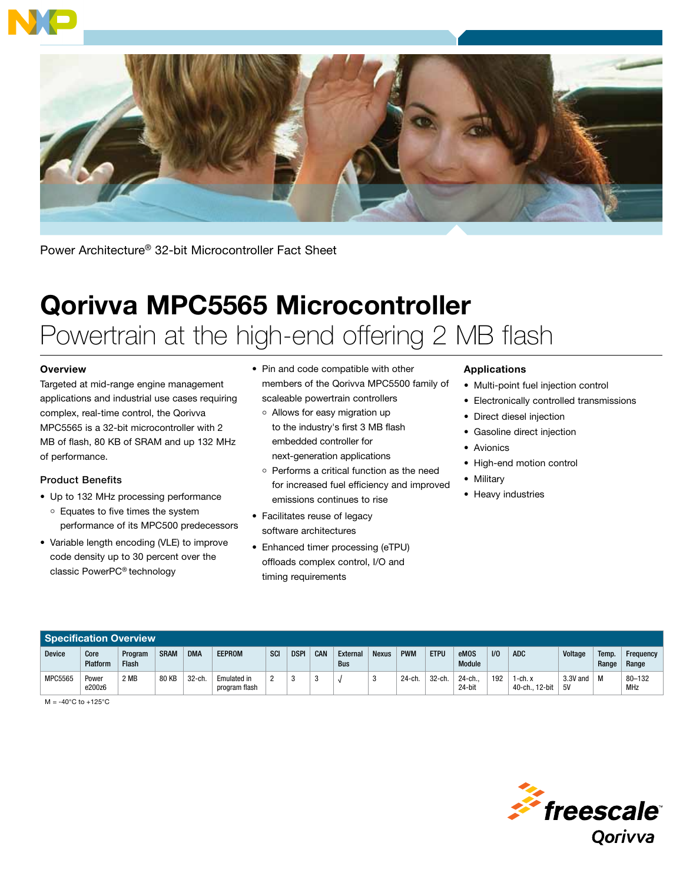



Power Architecture® 32-bit Microcontroller Fact Sheet

# Qorivva MPC5565 Microcontroller Powertrain at the high-end offering 2 MB flash

## **Overview**

Targeted at mid-range engine management applications and industrial use cases requiring complex, real-time control, the Qorivva MPC5565 is a 32-bit microcontroller with 2 MB of flash, 80 KB of SRAM and up 132 MHz of performance.

## Product Benefits

- Up to 132 MHz processing performance Equates to five times the system performance of its MPC500 predecessors
- Variable length encoding (VLE) to improve code density up to 30 percent over the classic PowerPC® technology
- Pin and code compatible with other members of the Qorivva MPC5500 family of scaleable powertrain controllers
	- Allows for easy migration up to the industry's first 3 MB flash embedded controller for next-generation applications
	- o Performs a critical function as the need for increased fuel efficiency and improved emissions continues to rise
- Facilitates reuse of legacy software architectures
- Enhanced timer processing (eTPU) offloads complex control, I/O and timing requirements

#### Applications

- Multi-point fuel injection control
- Electronically controlled transmissions
- Direct diesel injection
- Gasoline direct injection
- Avionics
- High-end motion control
- Military
- Heavy industries

| <b>Specification Overview</b> |                  |                         |             |            |                              |     |             |     |                        |              |            |             |                       |                |                           |                  |                |                    |
|-------------------------------|------------------|-------------------------|-------------|------------|------------------------------|-----|-------------|-----|------------------------|--------------|------------|-------------|-----------------------|----------------|---------------------------|------------------|----------------|--------------------|
| <b>Device</b>                 | Core<br>Platform | Program<br><b>Flash</b> | <b>SRAM</b> | <b>DMA</b> | <b>EEPROM</b>                | SCI | <b>DSPI</b> | CAN | External<br><b>Bus</b> | <b>Nexus</b> | <b>PWM</b> | <b>ETPU</b> | eMOS<br><b>Module</b> | U <sub>0</sub> | <b>ADC</b>                | Voltage          | Temp.<br>Range | Frequency<br>Range |
| <b>MPC5565</b>                | Power<br>e200z6  | 2 MB                    | 80 KB       | $32$ -ch   | Emulated in<br>program flash | ∩   |             |     |                        |              | 24-ch.     | 32-ch.      | 24-ch.<br>24-bit      | 192            | 1-ch. x<br>40-ch., 12-bit | $3.3V$ and<br>5V | M              | $80 - 132$<br>MHz  |

 $M = -40^{\circ}$ C to  $+125^{\circ}$ C